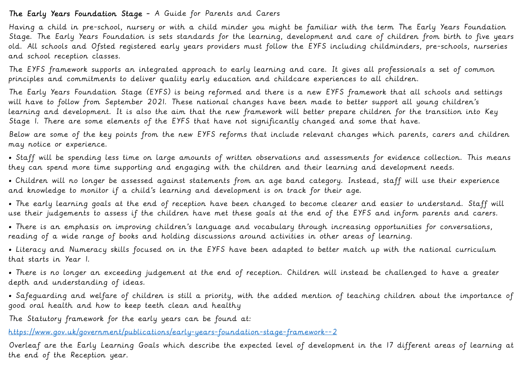# The Early Years Foundation Stage - A Guide for Parents and Carers

Having a child in pre-school, nursery or with a child minder you might be familiar with the term The Early Years Foundation Stage. The Early Years Foundation is sets standards for the learning, development and care of children from birth to five years old. All schools and Ofsted registered early years providers must follow the EYFS including childminders, pre-schools, nurseries and school reception classes.

The EYFS framework supports an integrated approach to early learning and care. It gives all professionals a set of common principles and commitments to deliver quality early education and childcare experiences to all children.

The Early Years Foundation Stage (EYFS) is being reformed and there is a new EYFS framework that all schools and settings will have to follow from September 2021. These national changes have been made to better support all young children's learning and development. It is also the aim that the new framework will better prepare children for the transition into Key Stage 1. There are some elements of the EYFS that have not significantly changed and some that have.

Below are some of the key points from the new EYFS reforms that include relevant changes which parents, carers and children may notice or experience.

• Staff will be spending less time on large amounts of written observations and assessments for evidence collection. This means they can spend more time supporting and engaging with the children and their learning and development needs.

• Children will no longer be assessed against statements from an age band category. Instead, staff will use their experience and knowledge to monitor if a child's learning and development is on track for their age.

• The early learning goals at the end of reception have been changed to become clearer and easier to understand. Staff will use their judgements to assess if the children have met these goals at the end of the EYFS and inform parents and carers.

• There is an emphasis on improving children's language and vocabulary through increasing opportunities for conversations, reading of a wide range of books and holding discussions around activities in other areas of learning.

• Literacy and Numeracy skills focused on in the EYFS have been adapted to better match up with the national curriculum that starts in Year 1.

• There is no longer an exceeding judgement at the end of reception. Children will instead be challenged to have a greater depth and understanding of ideas.

• Safeguarding and welfare of children is still a priority, with the added mention of teaching children about the importance of good oral health and how to keep teeth clean and healthy

The Statutory framework for the early years can be found at:

<https://www.gov.uk/government/publications/early-years-foundation-stage-framework--2>

Overleaf are the Early Learning Goals which describe the expected level of development in the 17 different areas of learning at the end of the Reception year.